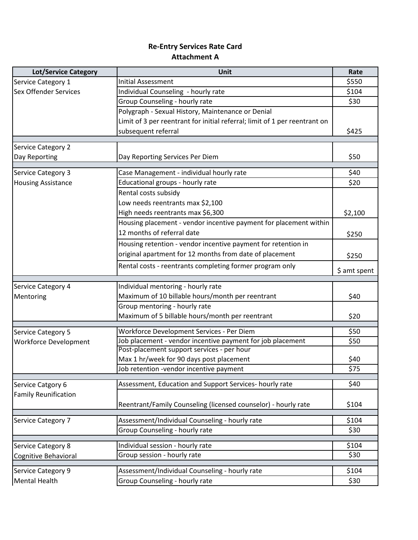## **Re-Entry Services Rate Card Attachment A**

| <b>Lot/Service Category</b>  | Unit                                                                       | Rate         |
|------------------------------|----------------------------------------------------------------------------|--------------|
| Service Category 1           | Initial Assessment                                                         | \$550        |
| Sex Offender Services        | Individual Counseling - hourly rate                                        | \$104        |
|                              | Group Counseling - hourly rate                                             | \$30         |
|                              | Polygraph - Sexual History, Maintenance or Denial                          |              |
|                              | Limit of 3 per reentrant for initial referral; limit of 1 per reentrant on |              |
|                              | subsequent referral                                                        | \$425        |
|                              |                                                                            |              |
| <b>Service Category 2</b>    | Day Reporting Services Per Diem                                            | \$50         |
| Day Reporting                |                                                                            |              |
| <b>Service Category 3</b>    | Case Management - individual hourly rate                                   | \$40         |
| <b>Housing Assistance</b>    | Educational groups - hourly rate                                           | \$20         |
|                              | Rental costs subsidy                                                       |              |
|                              | Low needs reentrants max \$2,100                                           |              |
|                              | High needs reentrants max \$6,300                                          | \$2,100      |
|                              | Housing placement - vendor incentive payment for placement within          |              |
|                              | 12 months of referral date                                                 | \$250        |
|                              | Housing retention - vendor incentive payment for retention in              |              |
|                              | original apartment for 12 months from date of placement                    | \$250        |
|                              | Rental costs - reentrants completing former program only                   | \$ amt spent |
|                              |                                                                            |              |
| <b>Service Category 4</b>    | Individual mentoring - hourly rate                                         |              |
| Mentoring                    | Maximum of 10 billable hours/month per reentrant                           | \$40         |
|                              | Group mentoring - hourly rate                                              |              |
|                              | Maximum of 5 billable hours/month per reentrant                            | \$20         |
| <b>Service Category 5</b>    | Workforce Development Services - Per Diem                                  | \$50         |
| <b>Workforce Development</b> | Job placement - vendor incentive payment for job placement                 | \$50         |
|                              | Post-placement support services - per hour                                 |              |
|                              | Max 1 hr/week for 90 days post placement                                   | \$40         |
|                              | Job retention -vendor incentive payment                                    | \$75         |
| Service Catgory 6            | Assessment, Education and Support Services- hourly rate                    | \$40         |
| <b>Family Reunification</b>  |                                                                            |              |
|                              | Reentrant/Family Counseling (licensed counselor) - hourly rate             | \$104        |
|                              |                                                                            |              |
| <b>Service Category 7</b>    | Assessment/Individual Counseling - hourly rate                             | \$104        |
|                              | Group Counseling - hourly rate                                             | \$30         |
| <b>Service Category 8</b>    | Individual session - hourly rate                                           | \$104        |
| Cognitive Behavioral         | Group session - hourly rate                                                | \$30         |
|                              |                                                                            |              |
| <b>Service Category 9</b>    | Assessment/Individual Counseling - hourly rate                             | \$104        |
| <b>Mental Health</b>         | Group Counseling - hourly rate                                             | \$30         |